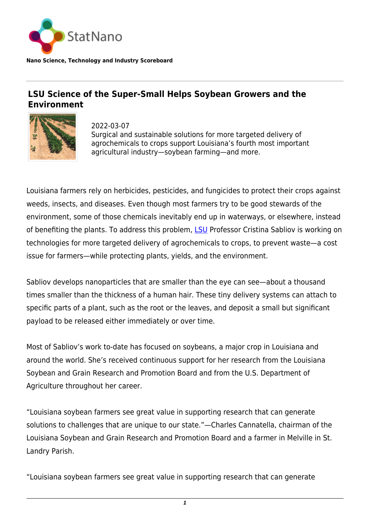

**Nano Science, Technology and Industry Scoreboard**

## **LSU Science of the Super-Small Helps Soybean Growers and the Environment**



2022-03-07 Surgical and sustainable solutions for more targeted delivery of agrochemicals to crops support Louisiana's fourth most important agricultural industry—soybean farming—and more.

Louisiana farmers rely on herbicides, pesticides, and fungicides to protect their crops against weeds, insects, and diseases. Even though most farmers try to be good stewards of the environment, some of those chemicals inevitably end up in waterways, or elsewhere, instead of benefiting the plants. To address this problem, **LSU** Professor Cristina Sabliov is working on technologies for more targeted delivery of agrochemicals to crops, to prevent waste—a cost issue for farmers—while protecting plants, yields, and the environment.

Sabliov develops nanoparticles that are smaller than the eye can see—about a thousand times smaller than the thickness of a human hair. These tiny delivery systems can attach to specific parts of a plant, such as the root or the leaves, and deposit a small but significant payload to be released either immediately or over time.

Most of Sabliov's work to-date has focused on soybeans, a major crop in Louisiana and around the world. She's received continuous support for her research from the Louisiana Soybean and Grain Research and Promotion Board and from the U.S. Department of Agriculture throughout her career.

"Louisiana soybean farmers see great value in supporting research that can generate solutions to challenges that are unique to our state."—Charles Cannatella, chairman of the Louisiana Soybean and Grain Research and Promotion Board and a farmer in Melville in St. Landry Parish.

"Louisiana soybean farmers see great value in supporting research that can generate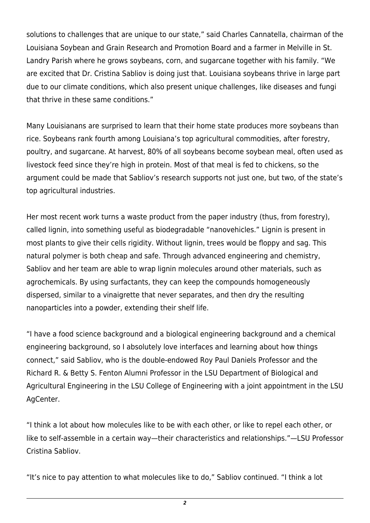solutions to challenges that are unique to our state," said Charles Cannatella, chairman of the Louisiana Soybean and Grain Research and Promotion Board and a farmer in Melville in St. Landry Parish where he grows soybeans, corn, and sugarcane together with his family. "We are excited that Dr. Cristina Sabliov is doing just that. Louisiana soybeans thrive in large part due to our climate conditions, which also present unique challenges, like diseases and fungi that thrive in these same conditions."

Many Louisianans are surprised to learn that their home state produces more soybeans than rice. Soybeans rank fourth among Louisiana's top agricultural commodities, after forestry, poultry, and sugarcane. At harvest, 80% of all soybeans become soybean meal, often used as livestock feed since they're high in protein. Most of that meal is fed to chickens, so the argument could be made that Sabliov's research supports not just one, but two, of the state's top agricultural industries.

Her most recent work turns a waste product from the paper industry (thus, from forestry), called lignin, into something useful as biodegradable "nanovehicles." Lignin is present in most plants to give their cells rigidity. Without lignin, trees would be floppy and sag. This natural polymer is both cheap and safe. Through advanced engineering and chemistry, Sabliov and her team are able to wrap lignin molecules around other materials, such as agrochemicals. By using surfactants, they can keep the compounds homogeneously dispersed, similar to a vinaigrette that never separates, and then dry the resulting nanoparticles into a powder, extending their shelf life.

"I have a food science background and a biological engineering background and a chemical engineering background, so I absolutely love interfaces and learning about how things connect," said Sabliov, who is the double-endowed Roy Paul Daniels Professor and the Richard R. & Betty S. Fenton Alumni Professor in the LSU Department of Biological and Agricultural Engineering in the LSU College of Engineering with a joint appointment in the LSU AgCenter.

"I think a lot about how molecules like to be with each other, or like to repel each other, or like to self-assemble in a certain way—their characteristics and relationships."—LSU Professor Cristina Sabliov.

"It's nice to pay attention to what molecules like to do," Sabliov continued. "I think a lot

*2*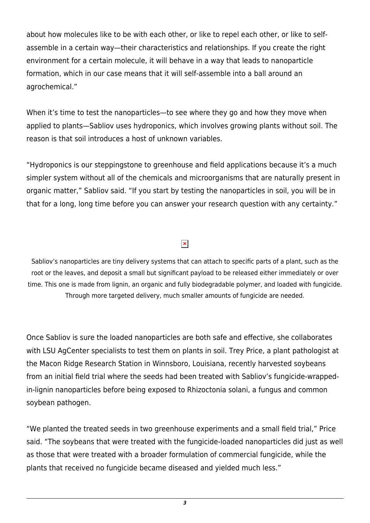about how molecules like to be with each other, or like to repel each other, or like to selfassemble in a certain way—their characteristics and relationships. If you create the right environment for a certain molecule, it will behave in a way that leads to nanoparticle formation, which in our case means that it will self-assemble into a ball around an agrochemical."

When it's time to test the nanoparticles—to see where they go and how they move when applied to plants—Sabliov uses hydroponics, which involves growing plants without soil. The reason is that soil introduces a host of unknown variables.

"Hydroponics is our steppingstone to greenhouse and field applications because it's a much simpler system without all of the chemicals and microorganisms that are naturally present in organic matter," Sabliov said. "If you start by testing the nanoparticles in soil, you will be in that for a long, long time before you can answer your research question with any certainty."

## $\pmb{\times}$

Sabliov's nanoparticles are tiny delivery systems that can attach to specific parts of a plant, such as the root or the leaves, and deposit a small but significant payload to be released either immediately or over time. This one is made from lignin, an organic and fully biodegradable polymer, and loaded with fungicide. Through more targeted delivery, much smaller amounts of fungicide are needed.

Once Sabliov is sure the loaded nanoparticles are both safe and effective, she collaborates with LSU AgCenter specialists to test them on plants in soil. Trey Price, a plant pathologist at the Macon Ridge Research Station in Winnsboro, Louisiana, recently harvested soybeans from an initial field trial where the seeds had been treated with Sabliov's fungicide-wrappedin-lignin nanoparticles before being exposed to Rhizoctonia solani, a fungus and common soybean pathogen.

"We planted the treated seeds in two greenhouse experiments and a small field trial," Price said. "The soybeans that were treated with the fungicide-loaded nanoparticles did just as well as those that were treated with a broader formulation of commercial fungicide, while the plants that received no fungicide became diseased and yielded much less."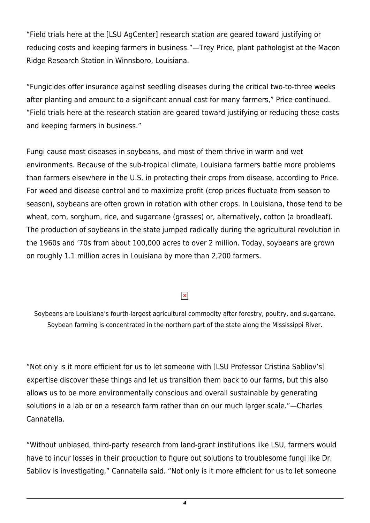"Field trials here at the [LSU AgCenter] research station are geared toward justifying or reducing costs and keeping farmers in business."—Trey Price, plant pathologist at the Macon Ridge Research Station in Winnsboro, Louisiana.

"Fungicides offer insurance against seedling diseases during the critical two-to-three weeks after planting and amount to a significant annual cost for many farmers," Price continued. "Field trials here at the research station are geared toward justifying or reducing those costs and keeping farmers in business."

Fungi cause most diseases in soybeans, and most of them thrive in warm and wet environments. Because of the sub-tropical climate, Louisiana farmers battle more problems than farmers elsewhere in the U.S. in protecting their crops from disease, according to Price. For weed and disease control and to maximize profit (crop prices fluctuate from season to season), soybeans are often grown in rotation with other crops. In Louisiana, those tend to be wheat, corn, sorghum, rice, and sugarcane (grasses) or, alternatively, cotton (a broadleaf). The production of soybeans in the state jumped radically during the agricultural revolution in the 1960s and '70s from about 100,000 acres to over 2 million. Today, soybeans are grown on roughly 1.1 million acres in Louisiana by more than 2,200 farmers.

## $\pmb{\times}$

Soybeans are Louisiana's fourth-largest agricultural commodity after forestry, poultry, and sugarcane. Soybean farming is concentrated in the northern part of the state along the Mississippi River.

"Not only is it more efficient for us to let someone with [LSU Professor Cristina Sabliov's] expertise discover these things and let us transition them back to our farms, but this also allows us to be more environmentally conscious and overall sustainable by generating solutions in a lab or on a research farm rather than on our much larger scale."—Charles Cannatella.

"Without unbiased, third-party research from land-grant institutions like LSU, farmers would have to incur losses in their production to figure out solutions to troublesome fungi like Dr. Sabliov is investigating," Cannatella said. "Not only is it more efficient for us to let someone

*4*